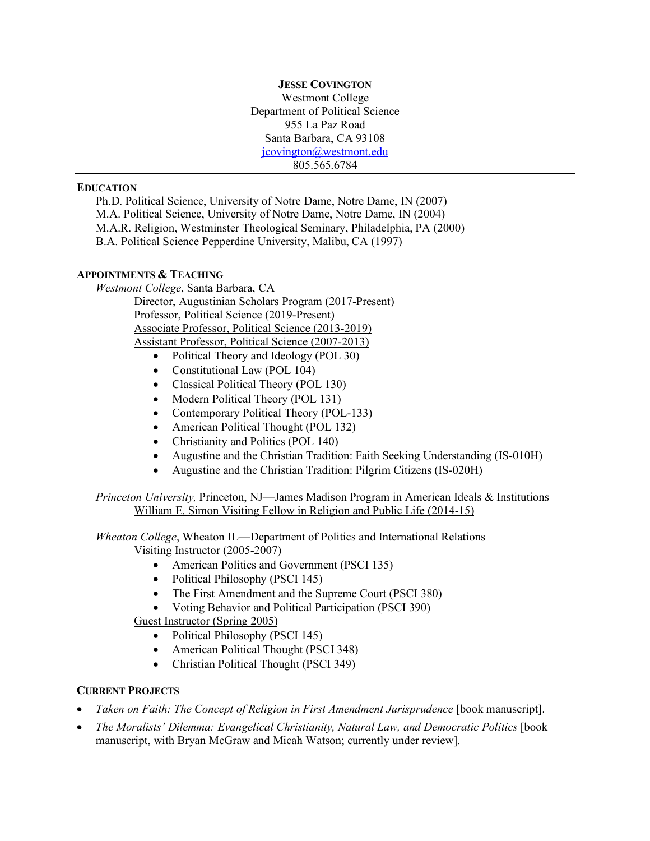**JESSE COVINGTON** Westmont College Department of Political Science 955 La Paz Road Santa Barbara, CA 93108 jcovington@westmont.edu 805.565.6784

#### **EDUCATION**

Ph.D. Political Science, University of Notre Dame, Notre Dame, IN (2007) M.A. Political Science, University of Notre Dame, Notre Dame, IN (2004) M.A.R. Religion, Westminster Theological Seminary, Philadelphia, PA (2000) B.A. Political Science Pepperdine University, Malibu, CA (1997)

## **APPOINTMENTS & TEACHING**

*Westmont College*, Santa Barbara, CA

Director, Augustinian Scholars Program (2017-Present) Professor, Political Science (2019-Present) Associate Professor, Political Science (2013-2019) Assistant Professor, Political Science (2007-2013)

- Political Theory and Ideology (POL 30)
- Constitutional Law (POL 104)
- Classical Political Theory (POL 130)
- Modern Political Theory (POL 131)
- Contemporary Political Theory (POL-133)
- American Political Thought (POL 132)
- Christianity and Politics (POL 140)
- Augustine and the Christian Tradition: Faith Seeking Understanding (IS-010H)
- Augustine and the Christian Tradition: Pilgrim Citizens (IS-020H)

*Princeton University,* Princeton, NJ—James Madison Program in American Ideals & Institutions William E. Simon Visiting Fellow in Religion and Public Life (2014-15)

*Wheaton College*, Wheaton IL—Department of Politics and International Relations Visiting Instructor (2005-2007)

- American Politics and Government (PSCI 135)
- Political Philosophy (PSCI 145)
- The First Amendment and the Supreme Court (PSCI 380)
- Voting Behavior and Political Participation (PSCI 390)

Guest Instructor (Spring 2005)

- Political Philosophy (PSCI 145)
- American Political Thought (PSCI 348)
- Christian Political Thought (PSCI 349)

## **CURRENT PROJECTS**

- *Taken on Faith: The Concept of Religion in First Amendment Jurisprudence* [book manuscript].
- *The Moralists' Dilemma: Evangelical Christianity, Natural Law, and Democratic Politics* [book manuscript, with Bryan McGraw and Micah Watson; currently under review].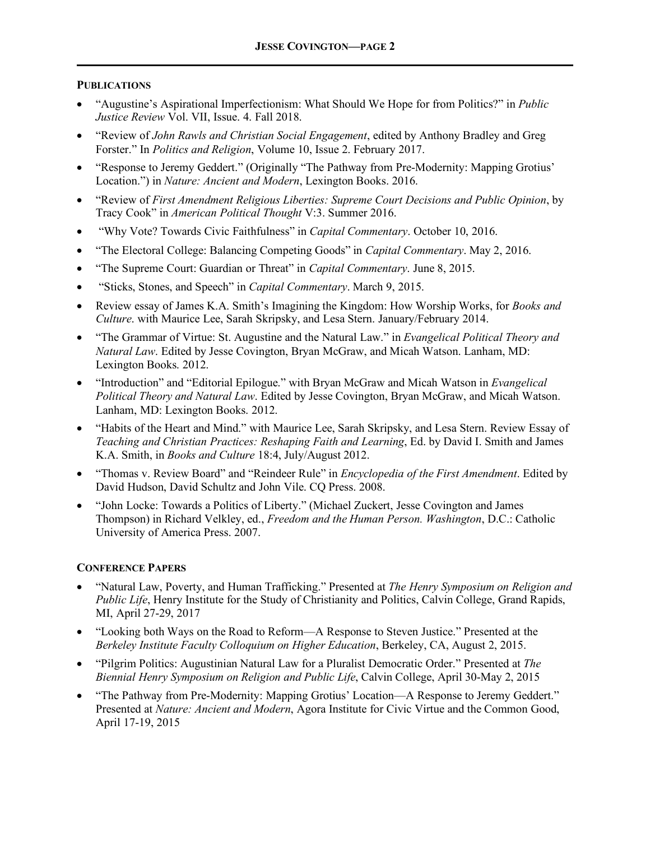# **PUBLICATIONS**

- "Augustine's Aspirational Imperfectionism: What Should We Hope for from Politics?" in *Public Justice Review* Vol. VII, Issue. 4. Fall 2018.
- "Review of *John Rawls and Christian Social Engagement*, edited by Anthony Bradley and Greg Forster." In *Politics and Religion*, Volume 10, Issue 2. February 2017.
- "Response to Jeremy Geddert." (Originally "The Pathway from Pre-Modernity: Mapping Grotius' Location.") in *Nature: Ancient and Modern*, Lexington Books. 2016.
- "Review of *First Amendment Religious Liberties: Supreme Court Decisions and Public Opinion*, by Tracy Cook" in *American Political Thought* V:3. Summer 2016.
- "Why Vote? Towards Civic Faithfulness" in *Capital Commentary*. October 10, 2016.
- "The Electoral College: Balancing Competing Goods" in *Capital Commentary*. May 2, 2016.
- "The Supreme Court: Guardian or Threat" in *Capital Commentary*. June 8, 2015.
- "Sticks, Stones, and Speech" in *Capital Commentary*. March 9, 2015.
- Review essay of James K.A. Smith's Imagining the Kingdom: How Worship Works, for *Books and Culture*. with Maurice Lee, Sarah Skripsky, and Lesa Stern. January/February 2014.
- "The Grammar of Virtue: St. Augustine and the Natural Law." in *Evangelical Political Theory and Natural Law*. Edited by Jesse Covington, Bryan McGraw, and Micah Watson. Lanham, MD: Lexington Books. 2012.
- "Introduction" and "Editorial Epilogue." with Bryan McGraw and Micah Watson in *Evangelical Political Theory and Natural Law*. Edited by Jesse Covington, Bryan McGraw, and Micah Watson. Lanham, MD: Lexington Books. 2012.
- "Habits of the Heart and Mind." with Maurice Lee, Sarah Skripsky, and Lesa Stern. Review Essay of *Teaching and Christian Practices: Reshaping Faith and Learning*, Ed. by David I. Smith and James K.A. Smith, in *Books and Culture* 18:4, July/August 2012.
- "Thomas v. Review Board" and "Reindeer Rule" in *Encyclopedia of the First Amendment*. Edited by David Hudson, David Schultz and John Vile. CQ Press. 2008.
- "John Locke: Towards a Politics of Liberty." (Michael Zuckert, Jesse Covington and James Thompson) in Richard Velkley, ed., *Freedom and the Human Person. Washington*, D.C.: Catholic University of America Press. 2007.

## **CONFERENCE PAPERS**

- "Natural Law, Poverty, and Human Trafficking." Presented at *The Henry Symposium on Religion and Public Life*, Henry Institute for the Study of Christianity and Politics, Calvin College, Grand Rapids, MI, April 27-29, 2017
- "Looking both Ways on the Road to Reform—A Response to Steven Justice." Presented at the *Berkeley Institute Faculty Colloquium on Higher Education*, Berkeley, CA, August 2, 2015.
- "Pilgrim Politics: Augustinian Natural Law for a Pluralist Democratic Order." Presented at *The Biennial Henry Symposium on Religion and Public Life*, Calvin College, April 30-May 2, 2015
- "The Pathway from Pre-Modernity: Mapping Grotius' Location—A Response to Jeremy Geddert." Presented at *Nature: Ancient and Modern*, Agora Institute for Civic Virtue and the Common Good, April 17-19, 2015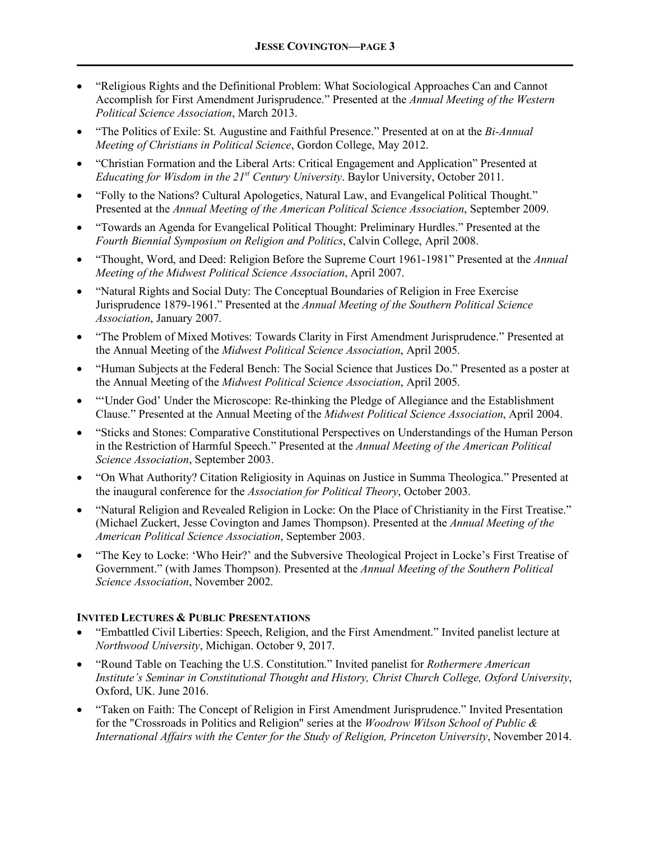- "Religious Rights and the Definitional Problem: What Sociological Approaches Can and Cannot Accomplish for First Amendment Jurisprudence." Presented at the *Annual Meeting of the Western Political Science Association*, March 2013.
- "The Politics of Exile: St. Augustine and Faithful Presence." Presented at on at the *Bi-Annual Meeting of Christians in Political Science*, Gordon College, May 2012.
- "Christian Formation and the Liberal Arts: Critical Engagement and Application" Presented at *Educating for Wisdom in the 21st Century University*. Baylor University, October 2011.
- "Folly to the Nations? Cultural Apologetics, Natural Law, and Evangelical Political Thought." Presented at the *Annual Meeting of the American Political Science Association*, September 2009.
- "Towards an Agenda for Evangelical Political Thought: Preliminary Hurdles." Presented at the *Fourth Biennial Symposium on Religion and Politics*, Calvin College, April 2008.
- "Thought, Word, and Deed: Religion Before the Supreme Court 1961-1981" Presented at the *Annual Meeting of the Midwest Political Science Association*, April 2007.
- "Natural Rights and Social Duty: The Conceptual Boundaries of Religion in Free Exercise Jurisprudence 1879-1961." Presented at the *Annual Meeting of the Southern Political Science Association*, January 2007.
- "The Problem of Mixed Motives: Towards Clarity in First Amendment Jurisprudence." Presented at the Annual Meeting of the *Midwest Political Science Association*, April 2005.
- "Human Subjects at the Federal Bench: The Social Science that Justices Do." Presented as a poster at the Annual Meeting of the *Midwest Political Science Association*, April 2005.
- "'Under God' Under the Microscope: Re-thinking the Pledge of Allegiance and the Establishment Clause." Presented at the Annual Meeting of the *Midwest Political Science Association*, April 2004.
- "Sticks and Stones: Comparative Constitutional Perspectives on Understandings of the Human Person in the Restriction of Harmful Speech." Presented at the *Annual Meeting of the American Political Science Association*, September 2003.
- "On What Authority? Citation Religiosity in Aquinas on Justice in Summa Theologica." Presented at the inaugural conference for the *Association for Political Theory*, October 2003.
- "Natural Religion and Revealed Religion in Locke: On the Place of Christianity in the First Treatise." (Michael Zuckert, Jesse Covington and James Thompson). Presented at the *Annual Meeting of the American Political Science Association*, September 2003.
- "The Key to Locke: 'Who Heir?' and the Subversive Theological Project in Locke's First Treatise of Government." (with James Thompson). Presented at the *Annual Meeting of the Southern Political Science Association*, November 2002.

## **INVITED LECTURES & PUBLIC PRESENTATIONS**

- "Embattled Civil Liberties: Speech, Religion, and the First Amendment." Invited panelist lecture at *Northwood University*, Michigan. October 9, 2017.
- "Round Table on Teaching the U.S. Constitution." Invited panelist for *Rothermere American Institute's Seminar in Constitutional Thought and History, Christ Church College, Oxford University*, Oxford, UK. June 2016.
- "Taken on Faith: The Concept of Religion in First Amendment Jurisprudence." Invited Presentation for the "Crossroads in Politics and Religion" series at the *Woodrow Wilson School of Public & International Affairs with the Center for the Study of Religion, Princeton University*, November 2014.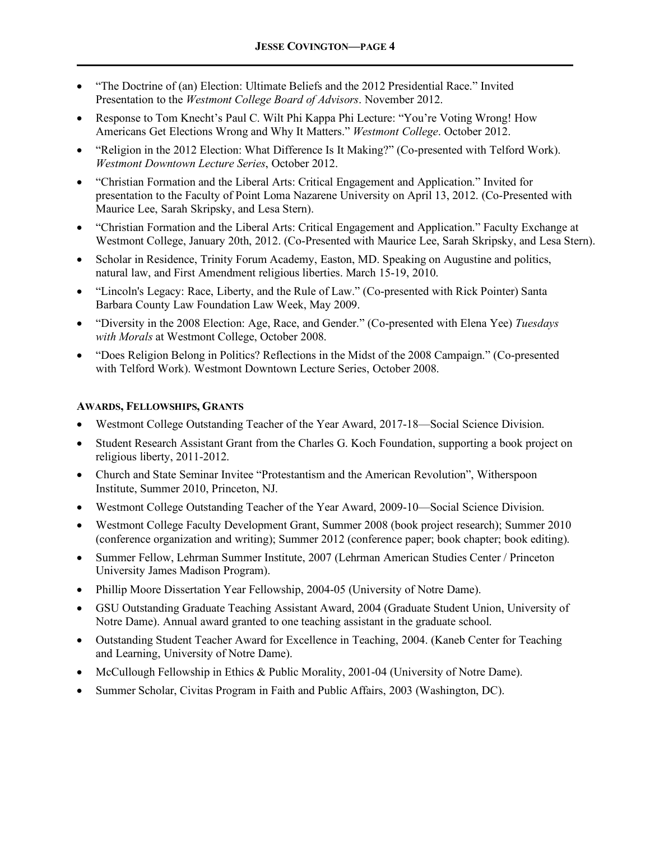- "The Doctrine of (an) Election: Ultimate Beliefs and the 2012 Presidential Race." Invited Presentation to the *Westmont College Board of Advisors*. November 2012.
- Response to Tom Knecht's Paul C. Wilt Phi Kappa Phi Lecture: "You're Voting Wrong! How Americans Get Elections Wrong and Why It Matters." *Westmont College*. October 2012.
- "Religion in the 2012 Election: What Difference Is It Making?" (Co-presented with Telford Work). *Westmont Downtown Lecture Series*, October 2012.
- "Christian Formation and the Liberal Arts: Critical Engagement and Application." Invited for presentation to the Faculty of Point Loma Nazarene University on April 13, 2012. (Co-Presented with Maurice Lee, Sarah Skripsky, and Lesa Stern).
- "Christian Formation and the Liberal Arts: Critical Engagement and Application." Faculty Exchange at Westmont College, January 20th, 2012. (Co-Presented with Maurice Lee, Sarah Skripsky, and Lesa Stern).
- Scholar in Residence, Trinity Forum Academy, Easton, MD. Speaking on Augustine and politics, natural law, and First Amendment religious liberties. March 15-19, 2010.
- "Lincoln's Legacy: Race, Liberty, and the Rule of Law." (Co-presented with Rick Pointer) Santa Barbara County Law Foundation Law Week, May 2009.
- "Diversity in the 2008 Election: Age, Race, and Gender." (Co-presented with Elena Yee) *Tuesdays with Morals* at Westmont College, October 2008.
- "Does Religion Belong in Politics? Reflections in the Midst of the 2008 Campaign." (Co-presented with Telford Work). Westmont Downtown Lecture Series, October 2008.

## **AWARDS, FELLOWSHIPS, GRANTS**

- Westmont College Outstanding Teacher of the Year Award, 2017-18—Social Science Division.
- Student Research Assistant Grant from the Charles G. Koch Foundation, supporting a book project on religious liberty, 2011-2012.
- Church and State Seminar Invitee "Protestantism and the American Revolution", Witherspoon Institute, Summer 2010, Princeton, NJ.
- Westmont College Outstanding Teacher of the Year Award, 2009-10—Social Science Division.
- Westmont College Faculty Development Grant, Summer 2008 (book project research); Summer 2010 (conference organization and writing); Summer 2012 (conference paper; book chapter; book editing).
- Summer Fellow, Lehrman Summer Institute, 2007 (Lehrman American Studies Center / Princeton University James Madison Program).
- Phillip Moore Dissertation Year Fellowship, 2004-05 (University of Notre Dame).
- GSU Outstanding Graduate Teaching Assistant Award, 2004 (Graduate Student Union, University of Notre Dame). Annual award granted to one teaching assistant in the graduate school.
- Outstanding Student Teacher Award for Excellence in Teaching, 2004. (Kaneb Center for Teaching and Learning, University of Notre Dame).
- McCullough Fellowship in Ethics & Public Morality, 2001-04 (University of Notre Dame).
- Summer Scholar, Civitas Program in Faith and Public Affairs, 2003 (Washington, DC).